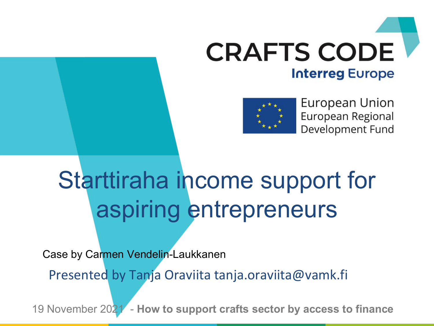



**European Union** European Regional Development Fund

### Starttiraha income support for aspiring entrepreneurs

Case by Carmen Vendelin-Laukkanen

Presented by Tanja Oraviita tanja.oraviita@vamk.fi

19 November 2021 - **How to support crafts sector by access to finance**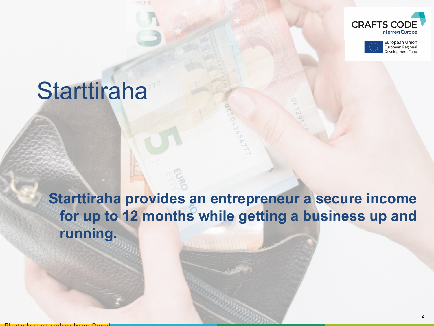



#### **Starttiraha**

**Starttiraha provides an entrepreneur a secure income for up to 12 months while getting a business up and running.**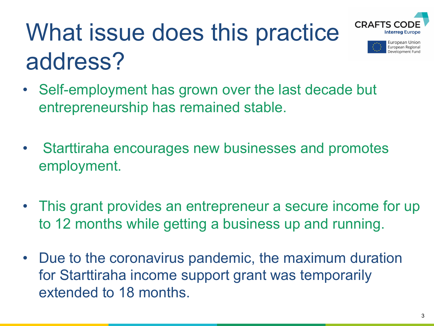

European Union European Regional Development Func

## What issue does this practice address?

- Self-employment has grown over the last decade but entrepreneurship has remained stable.
- Starttiraha encourages new businesses and promotes employment.
- This grant provides an entrepreneur a secure income for up to 12 months while getting a business up and running.
- Due to the coronavirus pandemic, the maximum duration for Starttiraha income support grant was temporarily extended to 18 months.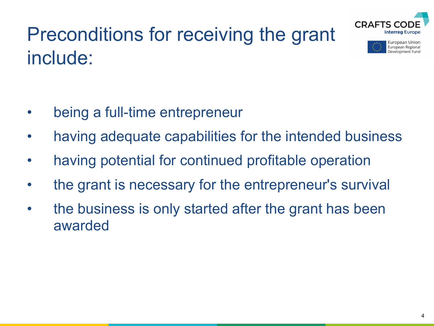

European Union European Regional Development Fund

#### Preconditions for receiving the grant include:

- being a full-time entrepreneur
- having adequate capabilities for the intended business
- having potential for continued profitable operation
- the grant is necessary for the entrepreneur's survival
- the business is only started after the grant has been awarded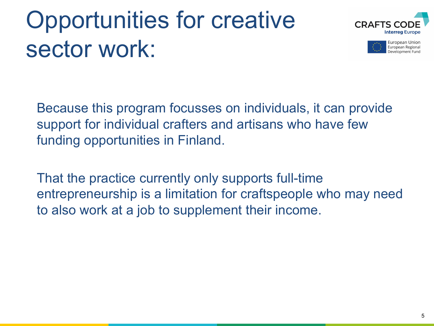## Opportunities for creative sector work:





Because this program focusses on individuals, it can provide support for individual crafters and artisans who have few funding opportunities in Finland.

That the practice currently only supports full-time entrepreneurship is a limitation for craftspeople who may need to also work at a job to supplement their income.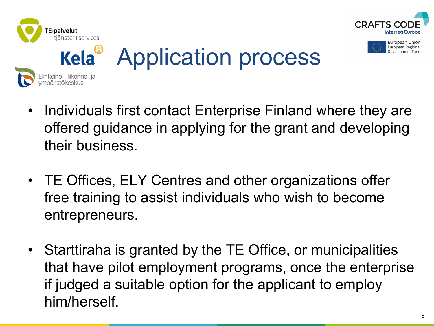

vmpäristökeskus





#### Application process Elinkeino-, liikenne- ja

- Individuals first contact Enterprise Finland where they are offered guidance in applying for the grant and developing their business.
- TE Offices, ELY Centres and other organizations offer free training to assist individuals who wish to become entrepreneurs.
- Starttiraha is granted by the TE Office, or municipalities that have pilot employment programs, once the enterprise if judged a suitable option for the applicant to employ him/herself.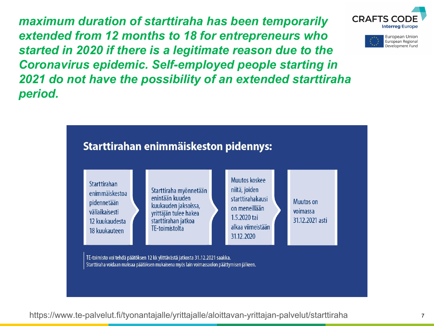*maximum duration of starttiraha has been temporarily extended from 12 months to 18 for entrepreneurs who started in 2020 if there is a legitimate reason due to the Coronavirus epidemic. Self-employed people starting in 2021 do not have the possibility of an extended starttiraha period.*



https://www.te-palvelut.fi/tyonantajalle/yrittajalle/aloittavan-yrittajan-palvelut/starttiraha <sup>7</sup>



European Union European Regional Development Fund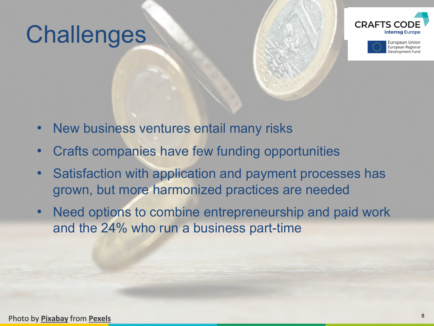#### **Challenges**





- New business ventures entail many risks
- Crafts companies have few funding opportunities
- Satisfaction with application and payment processes has grown, but more harmonized practices are needed
- Need options to combine entrepreneurship and paid work and the 24% who run a business part-time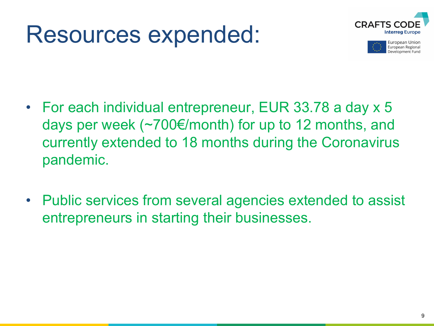#### Resources expended:





- For each individual entrepreneur, EUR 33.78 a day x 5 days per week (~700€/month) for up to 12 months, and currently extended to 18 months during the Coronavirus pandemic.
- Public services from several agencies extended to assist entrepreneurs in starting their businesses.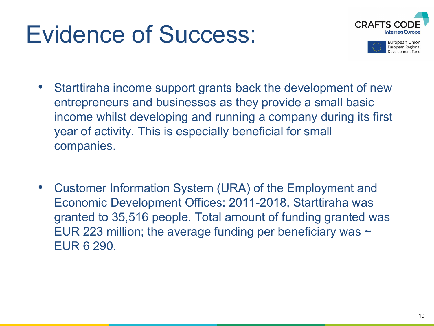#### Evidence of Success:





- Starttiraha income support grants back the development of new entrepreneurs and businesses as they provide a small basic income whilst developing and running a company during its first year of activity. This is especially beneficial for small companies.
- Customer Information System (URA) of the Employment and Economic Development Offices: 2011-2018, Starttiraha was granted to 35,516 people. Total amount of funding granted was EUR 223 million; the average funding per beneficiary was  $\sim$ EUR 6 290.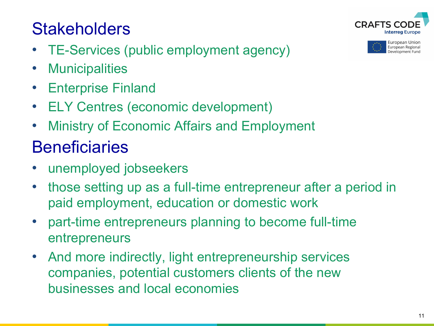#### 11

#### **Stakeholders**

- TE-Services (public employment agency)
- Municipalities
- Enterprise Finland
- ELY Centres (economic development)
- Ministry of Economic Affairs and Employment

#### **Beneficiaries**

- unemployed jobseekers
- those setting up as a full-time entrepreneur after a period in paid employment, education or domestic work
- part-time entrepreneurs planning to become full-time entrepreneurs
- And more indirectly, light entrepreneurship services companies, potential customers clients of the new businesses and local economies



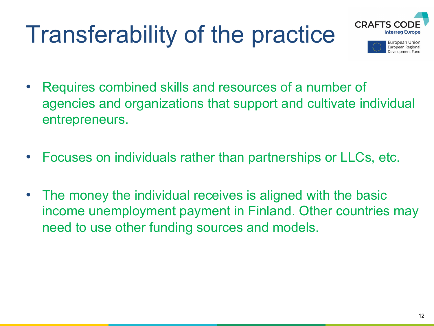## Transferability of the practice





- Requires combined skills and resources of a number of agencies and organizations that support and cultivate individual entrepreneurs.
- Focuses on individuals rather than partnerships or LLCs, etc.
- The money the individual receives is aligned with the basic income unemployment payment in Finland. Other countries may need to use other funding sources and models.